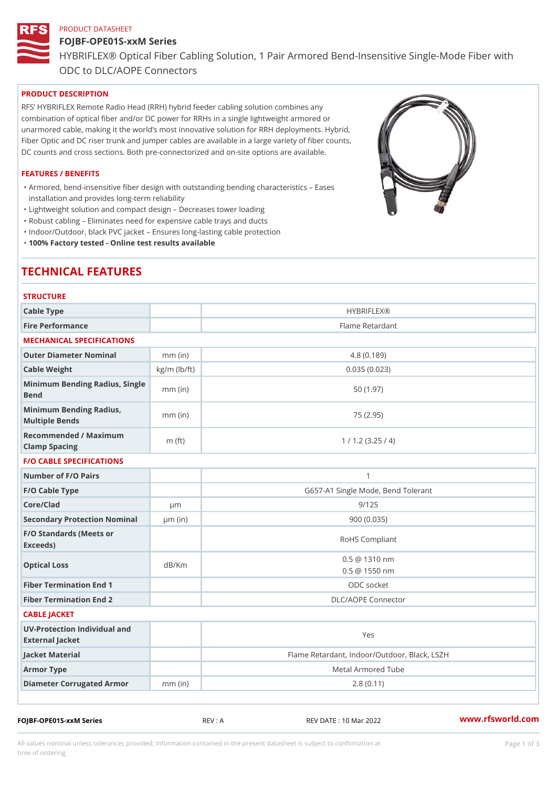# PRODUCT DATASHEET FOJBF-OPE01S-xxM Series HYBRIFLEX® Optical Fiber Cabling Solution, 1 Pair Armored Bend-Inse ODC to DLC/AOPE Connectors

## PRODUCT DESCRIPTION

RFS HYBRIFLEX Remote Radio Head (RRH) hybrid feeder cabling solution combines any combination of optical fiber and/or DC power for RRHs in a single lightweight armored or unarmored cable, making it the world s most innovative solution for RRH deployments. Hybrid, Fiber Optic and DC riser trunk and jumper cables are available in a large variety of fiber counts, DC counts and cross sections. Both pre-connectorized and on-site options are available.

#### FEATURES / BENEFITS

Armored, bend-insensitive fiber design with outstanding bending characteristics Eases " installation and provides long-term reliability

"Lightweight solution and compact design Decreases tower loading

"Robust cabling Eliminates need for expensive cable trays and ducts

"Indoor/Outdoor, black PVC jacket Ensures long-lasting cable protection

"100% Factory tested - Online test results available

# TECHNICAL FEATURES

| <b>STRUCTURE</b>                                     |                    |                                              |
|------------------------------------------------------|--------------------|----------------------------------------------|
| Cable Type                                           |                    | HYBRIFLEX <sub>®</sub>                       |
| Fire Performance                                     |                    | Flame Retardant                              |
| MECHANICAL SPECIFICATIONS                            |                    |                                              |
| Outer Diameter Nominal                               | $mm$ (in)          | 4.8(0.189)                                   |
| Cable Weight                                         | $kg/m$ ( $lb/ft$ ) | 0.035(0.023)                                 |
| Minimum Bending Radius, Single<br>The mm (in<br>Bend |                    | 50(1.97)                                     |
| Minimum Bending Radius, mm (in)<br>Multiple Bends    |                    | 75 (2.95)                                    |
| Recommended / Maximum<br>Clamp Spacing               | m $(ft)$           | 1 / 1.2 (3.25 / 4)                           |
| <b>F/O CABLE SPECIFICATIONS</b>                      |                    |                                              |
| Number of F/O Pairs                                  |                    | $\mathbf{1}$                                 |
| F/O Cable Type                                       |                    | G657-A1 Single Mode, Bend Tolerant           |
| Core/Clad                                            | $\mu$ m            | 9/125                                        |
| Secondary Protection Nomimal(in)                     |                    | 900(0.035)                                   |
| F/O Standards (Meets or<br>Exceeds)                  |                    | RoHS Compliant                               |
| Optical Loss                                         | dB/Km              | $0.5 \t@ 1310 nm$<br>$0.5 \t@ 1550 nm$       |
| Fiber Termination End                                |                    | ODC socket                                   |
| Fiber Termination End 2                              |                    | DLC/AOPE Connector                           |
| CABLE JACKET                                         |                    |                                              |
| UV-Protection Individual and<br>External Jacket      |                    | Yes                                          |
| Jacket Material                                      |                    | Flame Retardant, Indoor/Outdoor, Black, LSZH |
| Armor Type                                           |                    | Metal Armored Tube                           |
| Diameter Corrugated Armomm (in)                      |                    | 2.8(0.11)                                    |
|                                                      |                    |                                              |

FOJBF-OPE01S-xxM Series REV : A REV DATE : 10 Mar 2022 [www.](https://www.rfsworld.com)rfsworld.com

All values nominal unless tolerances provided; information contained in the present datasheet is subject to Pcapgeign mation time of ordering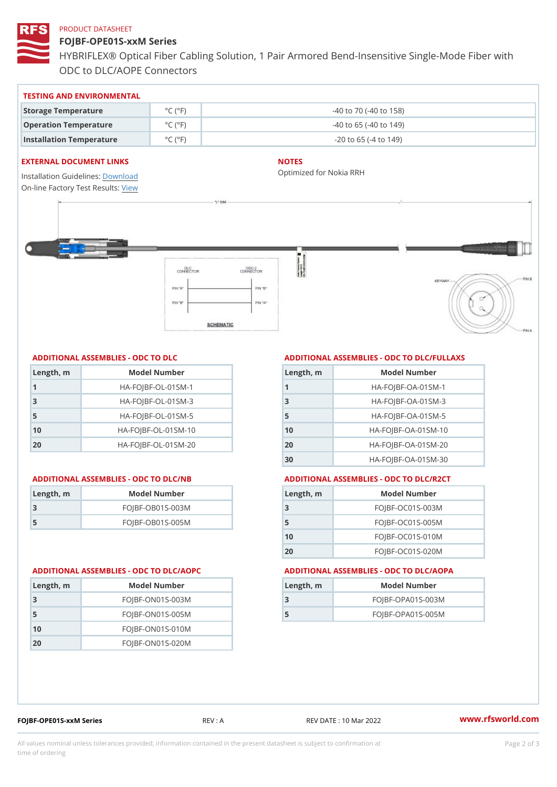#### PRODUCT DATASHEET

FOJBF-OPE01S-xxM Series HYBRIFLEX® Optical Fiber Cabling Solution, 1 Pair Armored Bend-Inse ODC to DLC/AOPE Connectors

| TESTING AND ENVIRONMENTAL        |                                     |                                  |
|----------------------------------|-------------------------------------|----------------------------------|
| Storage Temperature              | $^{\circ}$ C ( $^{\circ}$ F $\vert$ | $-40$ to $70$ ( $-40$ to $158$ ) |
| Operation Temperature            | $^{\circ}$ C ( $^{\circ}$ F $\vert$ | $-40$ to 65 ( $-40$ to 149)      |
| Installation Temperature °C (°F) |                                     | $-20$ to 65 ( $-4$ to 149)       |

#### EXTERNAL DOCUMENT LINKS

Installation Guidelwinessad On-line Factory Te[s](https://www.rfsworld.com/pictures/userfiles/programs/AAST Latest Version.zip)teResults:

## NOTES

Optimized for Nokia RRH

### ADDITIONAL ASSEMBLIES - ODC TO DLC

| Length, m | Model Number                   |
|-----------|--------------------------------|
| 1         | $HA - FOJBF - OL - 01SM - 1$   |
| 3         | $HA - FOJBF - O L - 01SM - 3$  |
| 5         | $HA - FOJBF - O L - 01SM - 5$  |
| 10        | $HA - FOJBF - O L - 01SM - 10$ |
| 20        | $HA-FOJBF-OL-01SM-20$          |

#### ADDITIONAL ASSEMBLIES - ODC TO DLC/NB ADDITIONAL ASSEMBLIES - ODC TO DLC/R2CT

| Length, m | Model Number     |
|-----------|------------------|
| -3        | FOJBF-OB01S-003M |
| -5        | FOJBF-OB01S-005M |

# ADDITIONAL ASSEMBLIES - ODC TO DLC/FULLAXS

| Length, m | Model Number                  |
|-----------|-------------------------------|
|           | $HA - FOJBF - OA - 01SM - 1$  |
| 3         | $HA - FOJBF - OA - 01SM - B$  |
| 5         | $HA - FOJBF - OA - 01SM - 5$  |
| 10        | $HA - FOJBF - OA - 01SM - 10$ |
| 20        | $HA-FOJBF-OA-01SM-20$         |
| 30        | $HA-FOJBF-OA-01SM-30$         |

| Length, m | Model Number       |
|-----------|--------------------|
| -3        | FOJBF-OC01S-003M   |
| 5         | FOJBF-OC01S-005M   |
| 10        | $FOJBF-OCO1S-010M$ |
| 20        | FOJBF-OC01S-020M   |

#### ADDITIONAL ASSEMBLIES - ODC TO DLC/AOPC ADDITIONAL ASSEMBLIES - ODC TO DLC/AOPA

| Length, rn | Model Number       |
|------------|--------------------|
| 3          | $FOJBF-ONO1S-OO3M$ |
| -5         | $FOJBF-ONO1S-005M$ |
| 10         | $FOJBF-ON01S-010M$ |
| 20         | $FOJBF-ONO1S-020M$ |

|            | ADDIIIUNAL AJJLIMDLILJ - UDU IU L |
|------------|-----------------------------------|
| Length, rn | Model Number                      |
| 3          | FOJBF-OPA01S-003M                 |
| -5         | FOJBF-OPA01S-005M                 |

FOJBF-OPE01S-xxM Series REV : A REV DATE : 10 Mar 2022 [www.](https://www.rfsworld.com)rfsworld.com

All values nominal unless tolerances provided; information contained in the present datasheet is subject to Pcapgelio an atio time of ordering